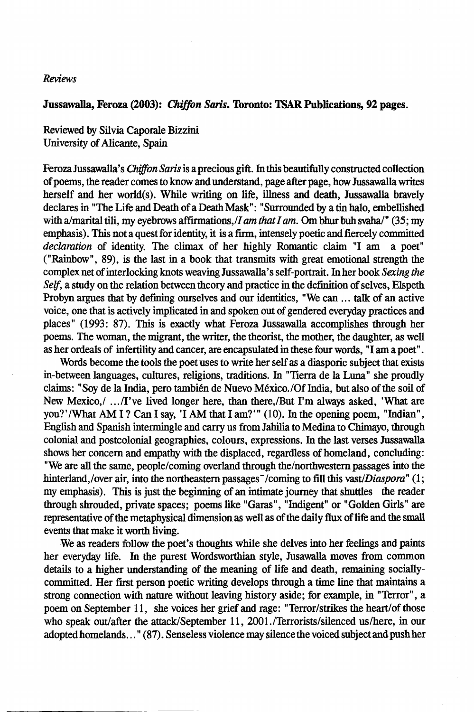## *Reviews*

## Jussawalla, Feroza (2003): *Chiffon Saris.* Toronto: TSAR Publications, 92 pages.

Reviewed by Silvia Caporale Bizzini University of Alicante, Spain

Feroza Jussawalla's *Chiffon Saris* is a precious gift. In this beautifully constructed collection of poems, the reader comes to know and understand, page after page, how Jussawalla writes herself and her world(s). While writing on life, illness and death, Jussawalla bravely declares in "The Life and Death of a Death Mask": "Surrounded by a tin halo, embellished with a/marital tili, my eyebrows affirmations,/*I am that I am.* Om bhur buh svaha/" (35; my emphasis). This not a quest for identity, it is a firm, intensely poetic and fiercely committed *declaration* of identity. The climax of her highly Romantic claim "I am a poet" ("Rainbow", 89), is the last in a book that transmits with great emotional strength the complex net of interlocking knots weaving Jussawalla' s self-portrait. In her book *Sexing the Self,* a study on the relation between theory and practice in the definition of selves, Elspeth Probyn argues that by defining ourselves and our identities, "We can ... talk of an active voice, one that is actively implicated in and spoken out of gendered everyday practices and places" (1993: 87). This is exactly what Feroza Jussawalla accomplishes through her poems. The woman, the migrant, the writer, the theorist, the mother, the daughter, as well as her ordeals of infertility and cancer, are encapsulated in these four words, "I am a poet".

Words become the tools the poet uses to write her self as a diasporic subject that exists in-between languages, cultures, religions, traditions. In "Tierra de la Luna" she proudly claims: "Soy de la India, pero tambien de Nuevo Mexico. /Of India, but also of the soil of New Mexico,/ .. ./I've lived longer here, than there,/But I'm always asked, 'What are you?' /What AM I? Can I say, 'I AM that I am?'" (10). In the opening poem, "Indian", English and Spanish intermingle and carry us from Jahilia to Medina to Chimayo, through colonial and postcolonial geographies, colours, expressions. In the last verses Jussawalla shows her concern and empathy with the displaced, regardless of homeland, concluding: "We are all the same, people/coming overland through the/northwestern passages into the hinterland,/over air, into the northeastern passages<sup>-</sup>/coming to fill this *vast/Diaspora*" (1; my emphasis). This is just the beginning of an intimate journey that shuttles the reader through shrouded, private spaces; poems like "Garas", "Indigent" or "Golden Girls" are representative of the metaphysical dimension as well as of the daily flux of life and the small events that make it worth living.

We as readers follow the poet's thoughts while she delves into her feelings and paints her everyday life. In the purest Wordsworthian style, Jusawalla moves from common details to a higher understanding of the meaning of life and death, remaining sociallycommitted. Her first person poetic writing develops through a time line that maintains a strong connection with nature without leaving history aside; for example, in "Terror", a poem on September 11, she voices her grief and rage: "Terror/strikes the heart/of those who speak out/after the attack/September 11, 2001./Terrorists/silenced us/here, in our adopted homelands ... " (87). Senseless violence may silence the voiced subject and push her